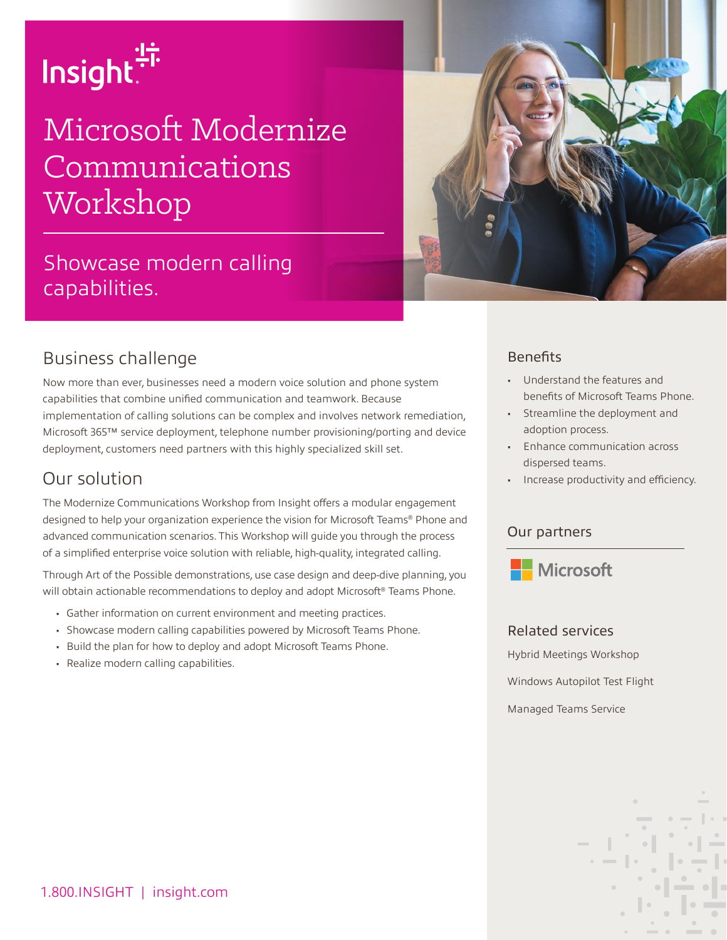

# Microsoft Modernize Communications Workshop



# Showcase modern calling capabilities.

### Business challenge

Now more than ever, businesses need a modern voice solution and phone system capabilities that combine unified communication and teamwork. Because implementation of calling solutions can be complex and involves network remediation, Microsoft 365™ service deployment, telephone number provisioning/porting and device deployment, customers need partners with this highly specialized skill set.

### Our solution

The Modernize Communications Workshop from Insight offers a modular engagement designed to help your organization experience the vision for Microsoft Teams® Phone and advanced communication scenarios. This Workshop will guide you through the process of a simplified enterprise voice solution with reliable, high-quality, integrated calling.

Through Art of the Possible demonstrations, use case design and deep-dive planning, you will obtain actionable recommendations to deploy and adopt Microsoft<sup>®</sup> Teams Phone.

- Gather information on current environment and meeting practices.
- Showcase modern calling capabilities powered by Microsoft Teams Phone.
- Build the plan for how to deploy and adopt Microsoft Teams Phone.
- Realize modern calling capabilities.

#### **Benefits**

- Understand the features and benefits of Microsoft Teams Phone.
- Streamline the deployment and adoption process.
- Enhance communication across dispersed teams.
- Increase productivity and efficiency.

#### Our partners



#### Related services

Hybrid Meetings Workshop

Windows Autopilot Test Flight

Managed Teams Service